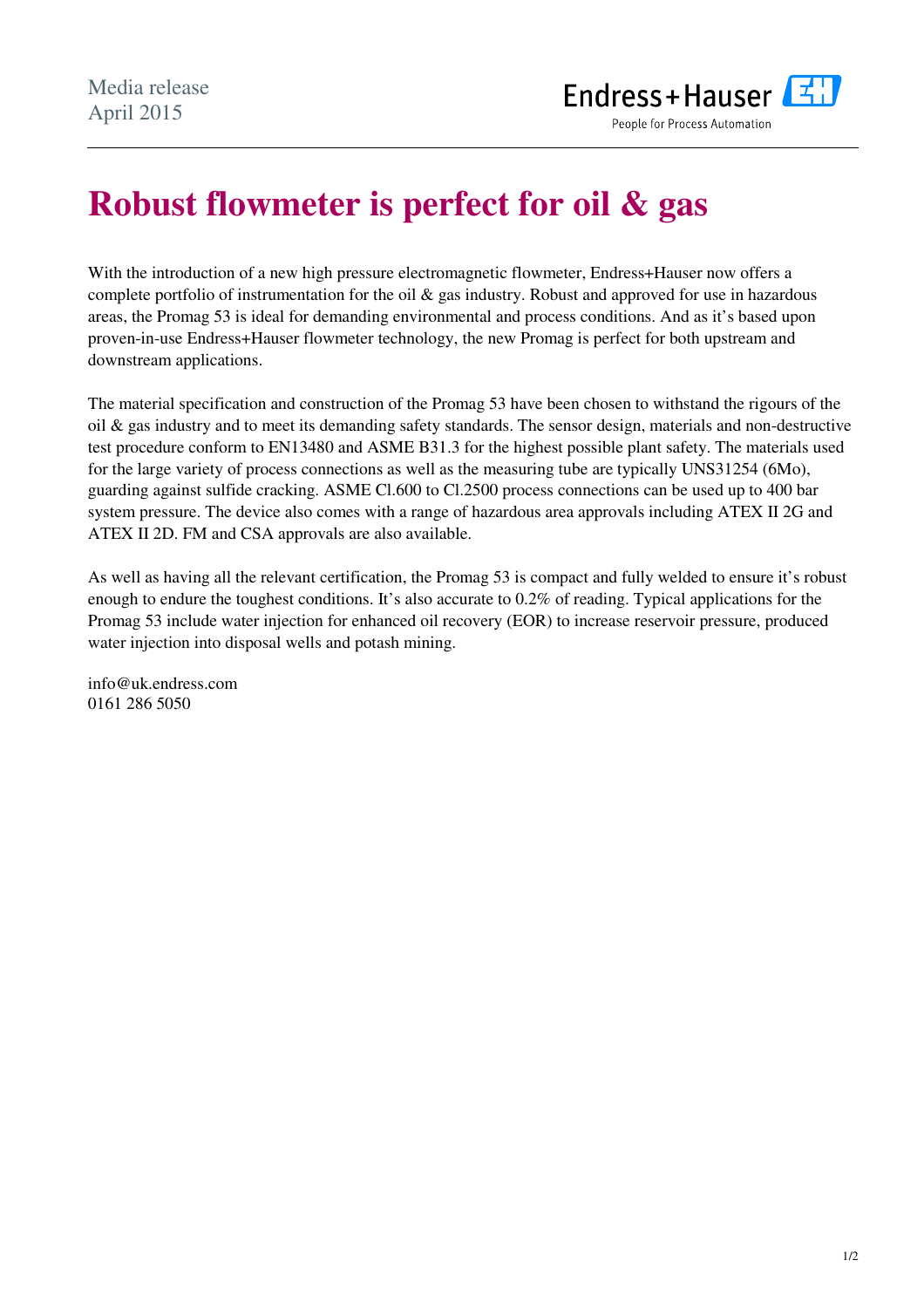

# **Robust flowmeter is perfect for oil & gas**

With the introduction of a new high pressure electromagnetic flowmeter, Endress+Hauser now offers a complete portfolio of instrumentation for the oil & gas industry. Robust and approved for use in hazardous areas, the Promag 53 is ideal for demanding environmental and process conditions. And as it's based upon proven-in-use Endress+Hauser flowmeter technology, the new Promag is perfect for both upstream and downstream applications.

The material specification and construction of the Promag 53 have been chosen to withstand the rigours of the oil & gas industry and to meet its demanding safety standards. The sensor design, materials and non-destructive test procedure conform to EN13480 and ASME B31.3 for the highest possible plant safety. The materials used for the large variety of process connections as well as the measuring tube are typically UNS31254 (6Mo), guarding against sulfide cracking. ASME Cl.600 to Cl.2500 process connections can be used up to 400 bar system pressure. The device also comes with a range of hazardous area approvals including ATEX II 2G and ATEX II 2D. FM and CSA approvals are also available.

As well as having all the relevant certification, the Promag 53 is compact and fully welded to ensure it's robust enough to endure the toughest conditions. It's also accurate to 0.2% of reading. Typical applications for the Promag 53 include water injection for enhanced oil recovery (EOR) to increase reservoir pressure, produced water injection into disposal wells and potash mining.

info@uk.endress.com 0161 286 5050